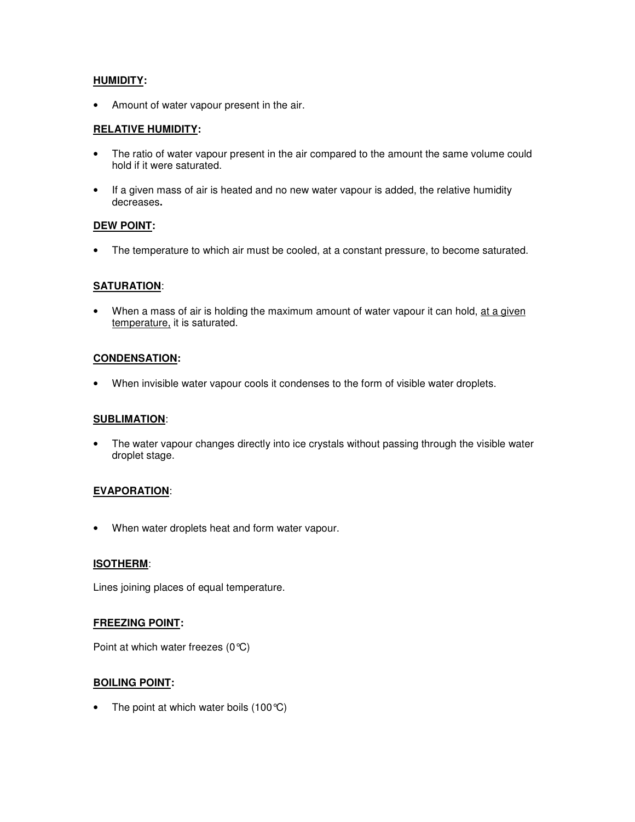# **HUMIDITY:**

• Amount of water vapour present in the air.

## **RELATIVE HUMIDITY:**

- The ratio of water vapour present in the air compared to the amount the same volume could hold if it were saturated.
- If a given mass of air is heated and no new water vapour is added, the relative humidity decreases**.**

## **DEW POINT:**

• The temperature to which air must be cooled, at a constant pressure, to become saturated.

## **SATURATION**:

When a mass of air is holding the maximum amount of water vapour it can hold, at a given temperature, it is saturated.

## **CONDENSATION:**

• When invisible water vapour cools it condenses to the form of visible water droplets.

## **SUBLIMATION**:

• The water vapour changes directly into ice crystals without passing through the visible water droplet stage.

## **EVAPORATION**:

• When water droplets heat and form water vapour.

## **ISOTHERM**:

Lines joining places of equal temperature.

## **FREEZING POINT:**

Point at which water freezes (0°C)

## **BOILING POINT:**

• The point at which water boils  $(100^{\circ}C)$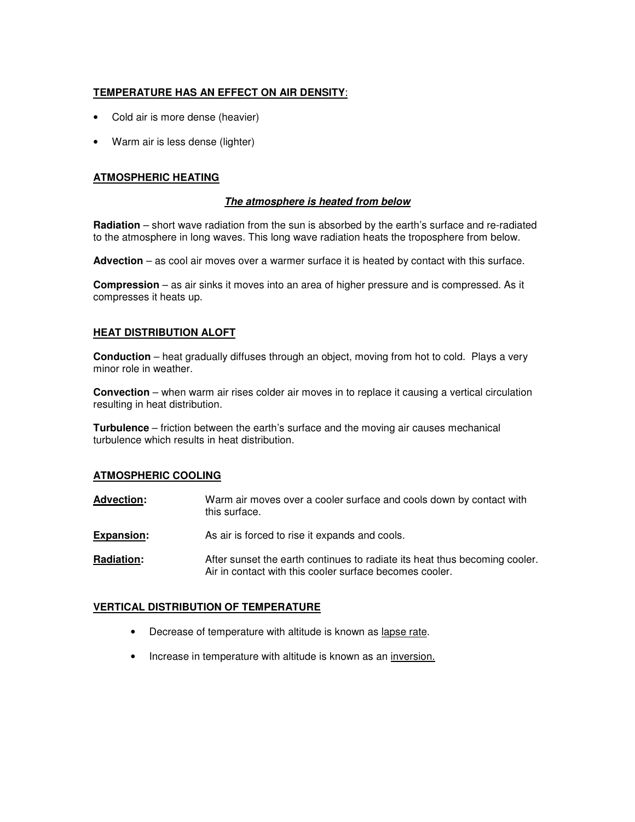### **TEMPERATURE HAS AN EFFECT ON AIR DENSITY**:

- Cold air is more dense (heavier)
- Warm air is less dense (lighter)

### **ATMOSPHERIC HEATING**

### **The atmosphere is heated from below**

**Radiation** – short wave radiation from the sun is absorbed by the earth's surface and re-radiated to the atmosphere in long waves. This long wave radiation heats the troposphere from below.

**Advection** – as cool air moves over a warmer surface it is heated by contact with this surface.

**Compression** – as air sinks it moves into an area of higher pressure and is compressed. As it compresses it heats up.

#### **HEAT DISTRIBUTION ALOFT**

**Conduction** – heat gradually diffuses through an object, moving from hot to cold. Plays a very minor role in weather.

**Convection** – when warm air rises colder air moves in to replace it causing a vertical circulation resulting in heat distribution.

**Turbulence** – friction between the earth's surface and the moving air causes mechanical turbulence which results in heat distribution.

#### **ATMOSPHERIC COOLING**

| <b>Advection:</b> | Warm air moves over a cooler surface and cools down by contact with<br>this surface.                                                  |
|-------------------|---------------------------------------------------------------------------------------------------------------------------------------|
| <b>Expansion:</b> | As air is forced to rise it expands and cools.                                                                                        |
| <b>Radiation:</b> | After sunset the earth continues to radiate its heat thus becoming cooler.<br>Air in contact with this cooler surface becomes cooler. |

#### **VERTICAL DISTRIBUTION OF TEMPERATURE**

- Decrease of temperature with altitude is known as lapse rate.
- Increase in temperature with altitude is known as an inversion.